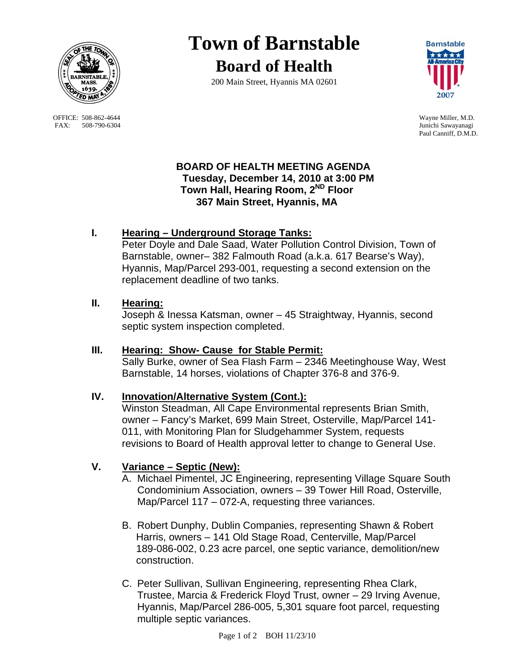

OFFICE: 508-862-4644 Wayne Miller, M.D.<br>
FAX: 508-790-6304 Junichi Sawayanagi FAX: 508-790-6304

# **Town of Barnstable Board of Health**

200 Main Street, Hyannis MA 02601



Paul Canniff, D.M.D.

### **BOARD OF HEALTH MEETING AGENDA Tuesday, December 14, 2010 at 3:00 PM Town Hall, Hearing Room, 2ND Floor 367 Main Street, Hyannis, MA**

## **I. Hearing – Underground Storage Tanks:**

Peter Doyle and Dale Saad, Water Pollution Control Division, Town of Barnstable, owner– 382 Falmouth Road (a.k.a. 617 Bearse's Way), Hyannis, Map/Parcel 293-001, requesting a second extension on the replacement deadline of two tanks.

#### **II. Hearing:**

Joseph & Inessa Katsman, owner – 45 Straightway, Hyannis, second septic system inspection completed.

## **III. Hearing: Show- Cause for Stable Permit:**

 Sally Burke, owner of Sea Flash Farm – 2346 Meetinghouse Way, West Barnstable, 14 horses, violations of Chapter 376-8 and 376-9.

## **IV. Innovation/Alternative System (Cont.):**

 Winston Steadman, All Cape Environmental represents Brian Smith, owner – Fancy's Market, 699 Main Street, Osterville, Map/Parcel 141- 011, with Monitoring Plan for Sludgehammer System, requests revisions to Board of Health approval letter to change to General Use.

## **V. Variance – Septic (New):**

- A. Michael Pimentel, JC Engineering, representing Village Square South Condominium Association, owners – 39 Tower Hill Road, Osterville, Map/Parcel 117 – 072-A, requesting three variances.
- B. Robert Dunphy, Dublin Companies, representing Shawn & Robert Harris, owners – 141 Old Stage Road, Centerville, Map/Parcel 189-086-002, 0.23 acre parcel, one septic variance, demolition/new construction.
- C. Peter Sullivan, Sullivan Engineering, representing Rhea Clark, Trustee, Marcia & Frederick Floyd Trust, owner – 29 Irving Avenue, Hyannis, Map/Parcel 286-005, 5,301 square foot parcel, requesting multiple septic variances.